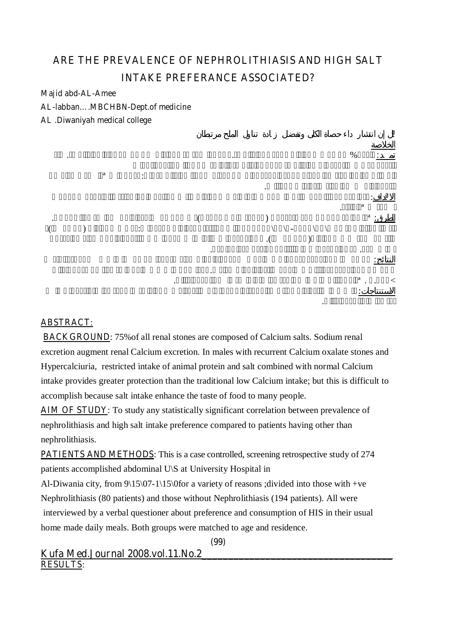# **ARE THE PREVALENCE OF NEPHROLITHIASIS AND HIGH SALT INTAKE PREFERANCE ASSOCIATED?**

**Majid abd-AL-Amee** 

**AL-labban….MBCHBN-Dept.of medicine** 

**AL .Diwaniyah medical college**



### **ABSTRACT**:

**BACKGROUND**: 75%of all renal stones are composed of Calcium salts. Sodium renal excretion augment renal Calcium excretion. In males with recurrent Calcium oxalate stones and Hypercalciuria, restricted intake of animal protein and salt combined with normal Calcium intake provides greater protection than the traditional low Calcium intake; but this is difficult to accomplish because salt intake enhance the taste of food to many people.

**AIM OF STUDY**: To study any statistically significant correlation between prevalence of nephrolithiasis and high salt intake preference compared to patients having other than nephrolithiasis.

**PATIENTS AND METHODS:** This is a case controlled, screening retrospective study of 274 patients accomplished abdominal U\S at University Hospital in

Al-Diwania city, from  $9\frac{15}{07-1}\$  (15) (16) Solutions into those with +ve Nephrolithiasis (80 patients) and those without Nephrolithiasis (194 patients). All were interviewed by a verbal questioner about preference and consumption of HIS in their usual home made daily meals. Both groups were matched to age and residence.

**(99)** 

```
Kufa Med.Journal 2008.vol.11.No.2____________________________________
RESULTS:
```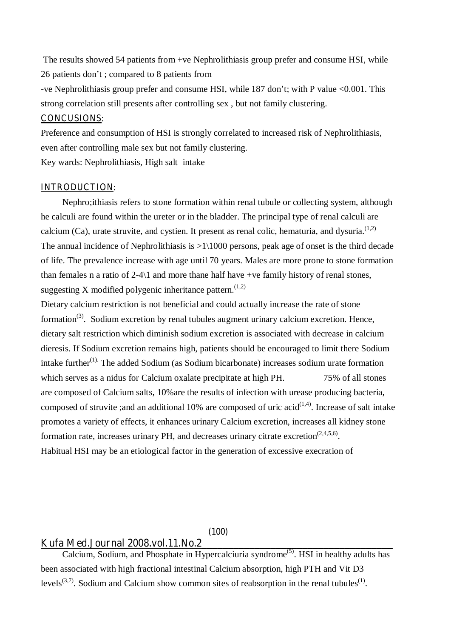The results showed 54 patients from +ve Nephrolithiasis group prefer and consume HSI, while 26 patients don't ; compared to 8 patients from

-ve Nephrolithiasis group prefer and consume HSI, while 187 don't; with P value <0.001. This strong correlation still presents after controlling sex , but not family clustering.

### **CONCUSIONS**:

Preference and consumption of HSI is strongly correlated to increased risk of Nephrolithiasis, even after controlling male sex but not family clustering.

Key wards: Nephrolithiasis, High salt intake

### **INTRODUCTION**:

Nephro;ithiasis refers to stone formation within renal tubule or collecting system, although he calculi are found within the ureter or in the bladder. The principal type of renal calculi are calcium (Ca), urate struvite, and cystien. It present as renal colic, hematuria, and dysuria.<sup> $(1,2)$ </sup> The annual incidence of Nephrolithiasis is  $>1\backslash1000$  persons, peak age of onset is the third decade of life. The prevalence increase with age until 70 years. Males are more prone to stone formation than females n a ratio of 2-4\1 and more thane half have +ve family history of renal stones, suggesting X modified polygenic inheritance pattern.<sup> $(1,2)$ </sup>

Dietary calcium restriction is not beneficial and could actually increase the rate of stone formation<sup>(3)</sup>. Sodium excretion by renal tubules augment urinary calcium excretion. Hence, dietary salt restriction which diminish sodium excretion is associated with decrease in calcium dieresis. If Sodium excretion remains high, patients should be encouraged to limit there Sodium intake further $(1)$ . The added Sodium (as Sodium bicarbonate) increases sodium urate formation which serves as a nidus for Calcium oxalate precipitate at high PH. 75% of all stones are composed of Calcium salts, 10%are the results of infection with urease producing bacteria, composed of struvite ;and an additional 10% are composed of uric acid $(1,4)$ . Increase of salt intake promotes a variety of effects, it enhances urinary Calcium excretion, increases all kidney stone formation rate, increases urinary PH, and decreases urinary citrate excretion<sup> $(2,4,5,6)$ </sup>. Habitual HSI may be an etiological factor in the generation of excessive execration of

#### **(100)**

# **Kufa Med.Journal 2008.vol.11.No.2\_\_\_\_\_\_\_\_\_\_\_\_\_\_\_\_\_\_\_\_\_\_\_\_\_\_\_\_\_\_\_\_\_\_\_\_**

Calcium, Sodium, and Phosphate in Hypercalciuria syndrome<sup> $(5)$ </sup>. HSI in healthy adults has been associated with high fractional intestinal Calcium absorption, high PTH and Vit D3 levels<sup>(3,7)</sup>. Sodium and Calcium show common sites of reabsorption in the renal tubules<sup>(1)</sup>.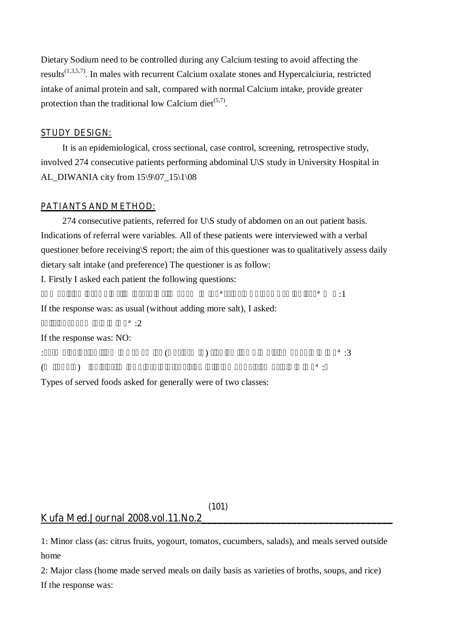Dietary Sodium need to be controlled during any Calcium testing to avoid affecting the results<sup> $(1,3,5,7)$ </sup>. In males with recurrent Calcium oxalate stones and Hypercalciuria, restricted intake of animal protein and salt, compared with normal Calcium intake, provide greater protection than the traditional low Calcium diet<sup> $(5,7)$ </sup>.

### **STUDY DESIGN:**

It is an epidemiological, cross sectional, case control, screening, retrospective study, involved 274 consecutive patients performing abdominal U\S study in University Hospital in AL\_DIWANIA city from 15\9\07\_15\1\08

### **PATIANTS AND METHOD:**

274 consecutive patients, referred for U\S study of abdomen on an out patient basis. Indications of referral were variables. All of these patients were interviewed with a verbal questioner before receiving\S report; the aim of this questioner was to qualitatively assess daily dietary salt intake (and preference) The questioner is as follow: I. Firstly I asked each patient the following questions:

If the response was: as usual (without adding more salt), I asked:

 $\ddot{a}$  : 2

If the response was: NO:

 $\begin{pmatrix} 3 \end{pmatrix}$  a  $\begin{pmatrix} 3 \end{pmatrix}$  $\hspace{10pt} \text{a}$ :  $\hspace{10pt} \text{a}$ 

 $a \qquad a \qquad \qquad$   $\vdots$ 

Types of served foods asked for generally were of two classes:

### **(101) Kufa Med.Journal 2008.vol.11.No.2\_\_\_\_\_\_\_\_\_\_\_\_\_\_\_\_\_\_\_\_\_\_\_\_\_\_\_\_\_\_\_\_\_\_\_\_**

1: Minor class (as: citrus fruits, yogourt, tomatos, cucumbers, salads), and meals served outside home

2: Major class (home made served meals on daily basis as varieties of broths, soups, and rice) If the response was: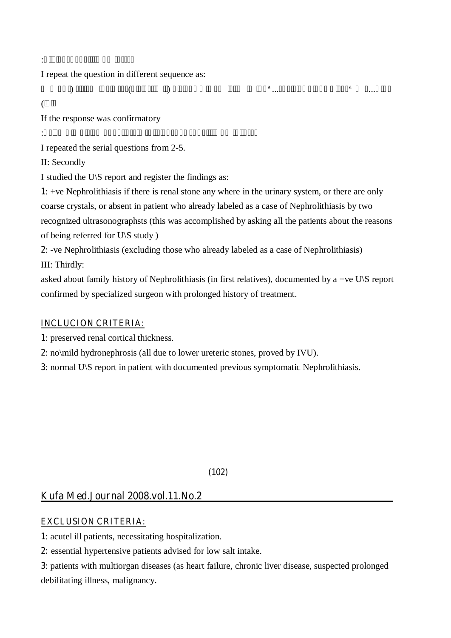I repeat the question in different sequence as:

 $\hspace{.1cm}$   $\hspace{.1cm}$   $\hspace{.1cm}$   $\hspace{.1cm}$   $\hspace{.1cm}$   $\hspace{.1cm}$   $\hspace{.1cm}$   $\hspace{.1cm}$   $\hspace{.1cm}$   $\hspace{.1cm}$   $\hspace{.1cm}$   $\hspace{.1cm}$   $\hspace{.1cm}$   $\hspace{.1cm}$   $\hspace{.1cm}$   $\hspace{.1cm}$   $\hspace{.1cm}$   $\hspace{.1cm}$   $\hspace{.1cm}$   $\hspace{.1cm}$   $\overline{(\ }$ 

If the response was confirmatory

نعم، :أفضل واتناول الاكل المالح

I repeated the serial questions from 2-5.

II: Secondly

I studied the U\S report and register the findings as:

نعم أنا أفضل وأتناول فعلا الأكل المالح، :ونعم أنا أرشرش الملح على طعامي

**1**: +ve Nephrolithiasis if there is renal stone any where in the urinary system, or there are only coarse crystals, or absent in patient who already labeled as a case of Nephrolithiasis by two recognized ultrasonographsts (this was accomplished by asking all the patients about the reasons of being referred for U\S study )

**2**: -ve Nephrolithiasis (excluding those who already labeled as a case of Nephrolithiasis) III: Thirdly:

asked about family history of Nephrolithiasis (in first relatives), documented by a +ve U\S report confirmed by specialized surgeon with prolonged history of treatment.

# **INCLUCION CRITERIA:**

**1**: preserved renal cortical thickness.

**2**: no\mild hydronephrosis (all due to lower ureteric stones, proved by IVU).

**3**: normal U\S report in patient with documented previous symptomatic Nephrolithiasis.

**(102)** 

# **Kufa Med.Journal 2008.vol.11.No.2\_\_\_\_\_\_\_\_\_\_\_\_\_\_\_\_\_\_\_\_\_\_\_\_\_\_\_\_\_\_\_\_\_\_\_\_**

# **EXCLUSION CRITERIA:**

**1**: acutel ill patients, necessitating hospitalization.

**2:** essential hypertensive patients advised for low salt intake.

**3**: patients with multiorgan diseases (as heart failure, chronic liver disease, suspected prolonged debilitating illness, malignancy.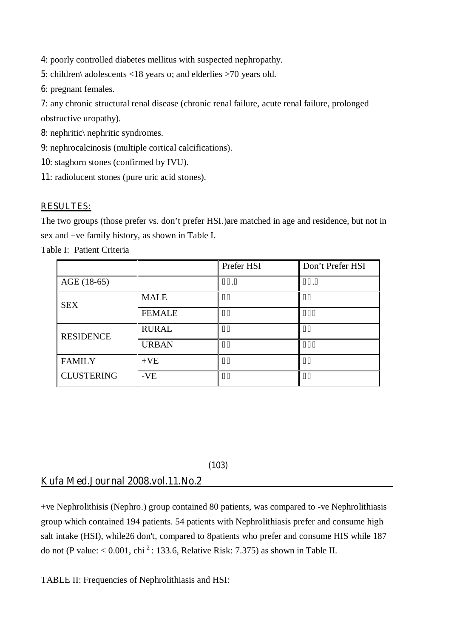**4**: poorly controlled diabetes mellitus with suspected nephropathy.

**5**: children\ adolescents <18 years o; and elderlies >70 years old.

**6**: pregnant females.

**7**: any chronic structural renal disease (chronic renal failure, acute renal failure, prolonged obstructive uropathy).

**8**: nephritic\ nephritic syndromes.

**9**: nephrocalcinosis (multiple cortical calcifications).

**10**: staghorn stones (confirmed by IVU).

**11**: radiolucent stones (pure uric acid stones).

### **RESULTES:**

The two groups (those prefer vs. don't prefer HSI.)are matched in age and residence, but not in sex and +ve family history, as shown in Table I.

Table I: Patient Criteria

|                   |               | Prefer HSI | Don't Prefer HSI |
|-------------------|---------------|------------|------------------|
| AGE (18-65)       |               |            |                  |
| <b>SEX</b>        | <b>MALE</b>   |            |                  |
|                   | <b>FEMALE</b> |            |                  |
| <b>RESIDENCE</b>  | <b>RURAL</b>  |            |                  |
|                   | <b>URBAN</b>  |            |                  |
| <b>FAMILY</b>     | $+VE$         |            |                  |
| <b>CLUSTERING</b> | $-VE$         |            |                  |

### **(103)**

## **Kufa Med.Journal 2008.vol.11.No.2\_\_\_\_\_\_\_\_\_\_\_\_\_\_\_\_\_\_\_\_\_\_\_\_\_\_\_\_\_\_\_\_\_\_\_\_**

+ve Nephrolithisis (Nephro.) group contained 80 patients, was compared to -ve Nephrolithiasis group which contained 194 patients. 54 patients with Nephrolithiasis prefer and consume high salt intake (HSI), while26 don't, compared to 8patients who prefer and consume HIS while 187 do not (P value:  $< 0.001$ , chi<sup>2</sup>: 133.6, Relative Risk: 7.375) as shown in Table II.

TABLE II: Frequencies of Nephrolithiasis and HSI: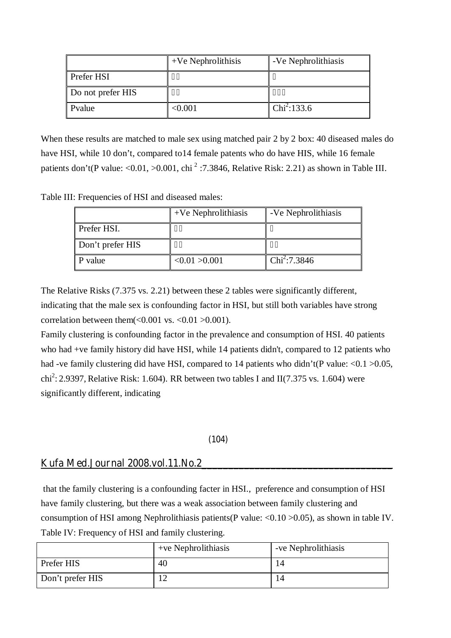|                   | $+Ve$ Nephrolithisis | -Ve Nephrolithiasis |
|-------------------|----------------------|---------------------|
| <b>Prefer HSI</b> |                      |                     |
| Do not prefer HIS |                      |                     |
| Pvalue            | $<$ 0.001 $\,$       | $Chi^2:133.6$       |

When these results are matched to male sex using matched pair 2 by 2 box: 40 diseased males do have HSI, while 10 don't, compared to14 female patents who do have HIS, while 16 female patients don't(P value: <0.01, >0.001, chi<sup>2</sup>:7.3846, Relative Risk: 2.21) as shown in Table III.

Table III: Frequencies of HSI and diseased males:

|                  | $+Ve$ Nephrolithiasis | -Ve Nephrolithiasis |
|------------------|-----------------------|---------------------|
| Prefer HSI.      |                       |                     |
| Don't prefer HIS |                       |                     |
| P value          | <0.01 > 0.001         | $Chi^2$ :7.3846     |

The Relative Risks (7.375 vs. 2.21) between these 2 tables were significantly different, indicating that the male sex is confounding factor in HSI, but still both variables have strong correlation between them( $< 0.001$  vs.  $< 0.01$   $> 0.001$ ).

Family clustering is confounding factor in the prevalence and consumption of HSI. 40 patients who had +ve family history did have HSI, while 14 patients didn't, compared to 12 patients who had -ve family clustering did have HSI, compared to 14 patients who didn't(P value: <0.1 > 0.05, chi<sup>2</sup>: 2.9397, Relative Risk: 1.604). RR between two tables I and II(7.375 vs. 1.604) were significantly different, indicating

### **(104)**

## **Kufa Med.Journal 2008.vol.11.No.2\_\_\_\_\_\_\_\_\_\_\_\_\_\_\_\_\_\_\_\_\_\_\_\_\_\_\_\_\_\_\_\_\_\_\_\_**

 that the family clustering is a confounding facter in HSI., preference and consumption of HSI have family clustering, but there was a weak association between family clustering and consumption of HSI among Nephrolithiasis patients(P value: <0.10 >0.05), as shown in table IV. Table IV: Frequency of HSI and family clustering.

|                  | $+ve$ Nephrolithiasis | -ve Nephrolithiasis |
|------------------|-----------------------|---------------------|
| Prefer HIS       | 40                    |                     |
| Don't prefer HIS |                       |                     |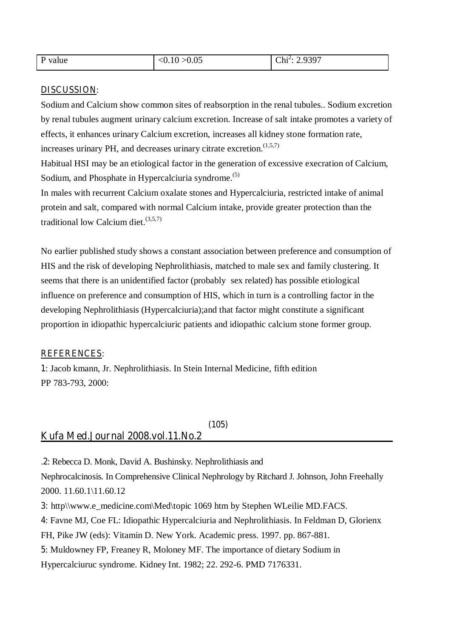| P value | < 0.10 > 0.05 | $Chi^2$ : 2.9397 |
|---------|---------------|------------------|
|         |               |                  |

### **DISCUSSION**:

Sodium and Calcium show common sites of reabsorption in the renal tubules.. Sodium excretion by renal tubules augment urinary calcium excretion. Increase of salt intake promotes a variety of effects, it enhances urinary Calcium excretion, increases all kidney stone formation rate, increases urinary PH, and decreases urinary citrate excretion. $(1,5,7)$ 

Habitual HSI may be an etiological factor in the generation of excessive execration of Calcium, Sodium, and Phosphate in Hypercalciuria syndrome.<sup>(5)</sup>

In males with recurrent Calcium oxalate stones and Hypercalciuria, restricted intake of animal protein and salt, compared with normal Calcium intake, provide greater protection than the traditional low Calcium diet.(3,5,7)

No earlier published study shows a constant association between preference and consumption of HIS and the risk of developing Nephrolithiasis, matched to male sex and family clustering. It seems that there is an unidentified factor (probably sex related) has possible etiological influence on preference and consumption of HIS, which in turn is a controlling factor in the developing Nephrolithiasis (Hypercalciuria);and that factor might constitute a significant proportion in idiopathic hypercalciuric patients and idiopathic calcium stone former group.

### **REFERENCES**:

**1**: Jacob kmann, Jr. Nephrolithiasis. In Stein Internal Medicine, fifth edition PP 783-793, 2000:

### **(105) Kufa Med.Journal 2008.vol.11.No.2\_\_\_\_\_\_\_\_\_\_\_\_\_\_\_\_\_\_\_\_\_\_\_\_\_\_\_\_\_\_\_\_\_\_\_\_**

.**2**: Rebecca D. Monk, David A. Bushinsky. Nephrolithiasis and

Nephrocalcinosis. In Comprehensive Clinical Nephrology by Ritchard J. Johnson, John Freehally 2000. 11.60.1\11.60.12

**3:** http\\www.e\_medicine.com\Med\topic 1069 htm by Stephen WLeilie MD.FACS.

**4**: Favne MJ, Coe FL: Idiopathic Hypercalciuria and Nephrolithiasis. In Feldman D, Glorienx

FH, Pike JW (eds): Vitamin D. New York. Academic press. 1997. pp. 867-881.

**5**: Muldowney FP, Freaney R, Moloney MF. The importance of dietary Sodium in

Hypercalciuruc syndrome. Kidney Int. 1982; 22. 292-6. PMD 7176331.